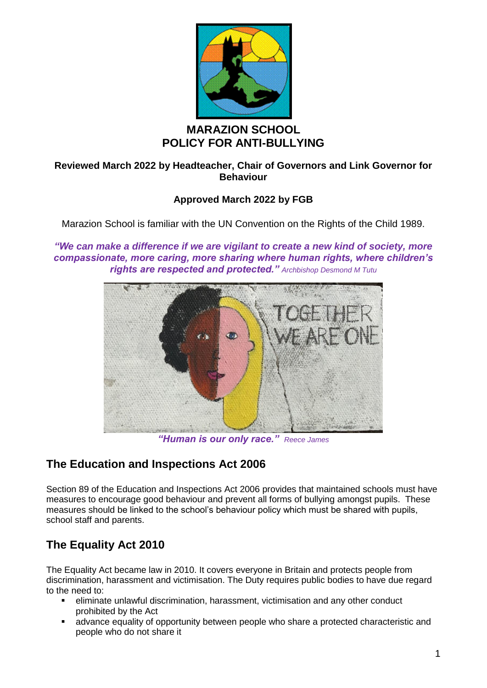

## **MARAZION SCHOOL POLICY FOR ANTI-BULLYING**

#### **Reviewed March 2022 by Headteacher, Chair of Governors and Link Governor for Behaviour**

## **Approved March 2022 by FGB**

Marazion School is familiar with the UN Convention on the Rights of the Child 1989.

*"We can make a difference if we are vigilant to create a new kind of society, more compassionate, more caring, more sharing where human rights, where children's rights are respected and protected." Archbishop Desmond M Tutu*



*"Human is our only race." Reece James*

## **The Education and Inspections Act 2006**

Section 89 of the Education and Inspections Act 2006 provides that maintained schools must have measures to encourage good behaviour and prevent all forms of bullying amongst pupils. These measures should be linked to the school's behaviour policy which must be shared with pupils, school staff and parents.

# **The Equality Act 2010**

The Equality Act became law in 2010. It covers everyone in Britain and protects people from discrimination, harassment and victimisation. The Duty requires public bodies to have due regard to the need to:

- eliminate unlawful discrimination, harassment, victimisation and any other conduct prohibited by the Act
- advance equality of opportunity between people who share a protected characteristic and people who do not share it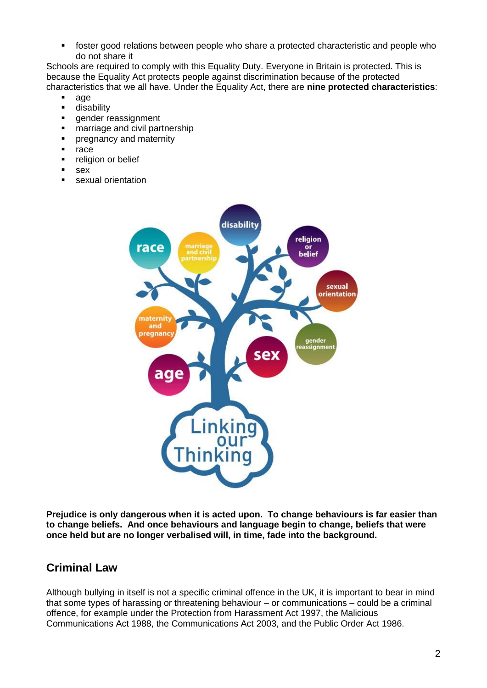■ foster good relations between people who share a protected characteristic and people who do not share it

Schools are required to comply with this Equality Duty. Everyone in Britain is protected. This is because the Equality Act protects people against discrimination because of the protected characteristics that we all have. Under the Equality Act, there are **nine protected characteristics**:

- age<br>■ disa
- disability
- **•** gender reassignment
- **■** marriage and civil partnership
- **•** pregnancy and maternity
- race
- **•** religion or belief
- sex
- sexual orientation



**Prejudice is only dangerous when it is acted upon. To change behaviours is far easier than to change beliefs. And once behaviours and language begin to change, beliefs that were once held but are no longer verbalised will, in time, fade into the background.**

## **Criminal Law**

Although bullying in itself is not a specific criminal offence in the UK, it is important to bear in mind that some types of harassing or threatening behaviour – or communications – could be a criminal offence, for example under the Protection from Harassment Act 1997, the Malicious Communications Act 1988, the Communications Act 2003, and the Public Order Act 1986.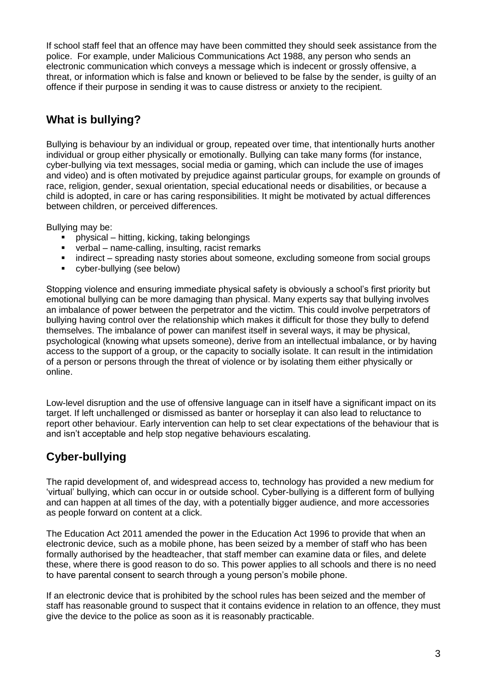If school staff feel that an offence may have been committed they should seek assistance from the police. For example, under Malicious Communications Act 1988, any person who sends an electronic communication which conveys a message which is indecent or grossly offensive, a threat, or information which is false and known or believed to be false by the sender, is guilty of an offence if their purpose in sending it was to cause distress or anxiety to the recipient.

## **What is bullying?**

Bullying is behaviour by an individual or group, repeated over time, that intentionally hurts another individual or group either physically or emotionally. Bullying can take many forms (for instance, cyber-bullying via text messages, social media or gaming, which can include the use of images and video) and is often motivated by prejudice against particular groups, for example on grounds of race, religion, gender, sexual orientation, special educational needs or disabilities, or because a child is adopted, in care or has caring responsibilities. It might be motivated by actual differences between children, or perceived differences.

Bullying may be:

- physical hitting, kicking, taking belongings
- verbal name-calling, insulting, racist remarks
- indirect spreading nasty stories about someone, excluding someone from social groups
- cyber-bullying (see below)

Stopping violence and ensuring immediate physical safety is obviously a school's first priority but emotional bullying can be more damaging than physical. Many experts say that bullying involves an imbalance of power between the perpetrator and the victim. This could involve perpetrators of bullying having control over the relationship which makes it difficult for those they bully to defend themselves. The imbalance of power can manifest itself in several ways, it may be physical, psychological (knowing what upsets someone), derive from an intellectual imbalance, or by having access to the support of a group, or the capacity to socially isolate. It can result in the intimidation of a person or persons through the threat of violence or by isolating them either physically or online.

Low-level disruption and the use of offensive language can in itself have a significant impact on its target. If left unchallenged or dismissed as banter or horseplay it can also lead to reluctance to report other behaviour. Early intervention can help to set clear expectations of the behaviour that is and isn't acceptable and help stop negative behaviours escalating.

## **Cyber-bullying**

The rapid development of, and widespread access to, technology has provided a new medium for 'virtual' bullying, which can occur in or outside school. Cyber-bullying is a different form of bullying and can happen at all times of the day, with a potentially bigger audience, and more accessories as people forward on content at a click.

The Education Act 2011 amended the power in the Education Act 1996 to provide that when an electronic device, such as a mobile phone, has been seized by a member of staff who has been formally authorised by the headteacher, that staff member can examine data or files, and delete these, where there is good reason to do so. This power applies to all schools and there is no need to have parental consent to search through a young person's mobile phone.

If an electronic device that is prohibited by the school rules has been seized and the member of staff has reasonable ground to suspect that it contains evidence in relation to an offence, they must give the device to the police as soon as it is reasonably practicable.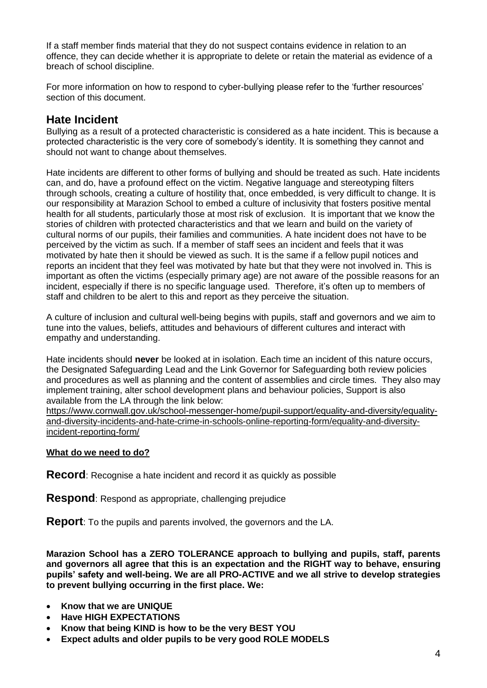If a staff member finds material that they do not suspect contains evidence in relation to an offence, they can decide whether it is appropriate to delete or retain the material as evidence of a breach of school discipline.

For more information on how to respond to cyber-bullying please refer to the 'further resources' section of this document.

### **Hate Incident**

Bullying as a result of a protected characteristic is considered as a hate incident. This is because a protected characteristic is the very core of somebody's identity. It is something they cannot and should not want to change about themselves.

Hate incidents are different to other forms of bullying and should be treated as such. Hate incidents can, and do, have a profound effect on the victim. Negative language and stereotyping filters through schools, creating a culture of hostility that, once embedded, is very difficult to change. It is our responsibility at Marazion School to embed a culture of inclusivity that fosters positive mental health for all students, particularly those at most risk of exclusion. It is important that we know the stories of children with protected characteristics and that we learn and build on the variety of cultural norms of our pupils, their families and communities. A hate incident does not have to be perceived by the victim as such. If a member of staff sees an incident and feels that it was motivated by hate then it should be viewed as such. It is the same if a fellow pupil notices and reports an incident that they feel was motivated by hate but that they were not involved in. This is important as often the victims (especially primary age) are not aware of the possible reasons for an incident, especially if there is no specific language used. Therefore, it's often up to members of staff and children to be alert to this and report as they perceive the situation.

A culture of inclusion and cultural well-being begins with pupils, staff and governors and we aim to tune into the values, beliefs, attitudes and behaviours of different cultures and interact with empathy and understanding.

Hate incidents should **never** be looked at in isolation. Each time an incident of this nature occurs, the Designated Safeguarding Lead and the Link Governor for Safeguarding both review policies and procedures as well as planning and the content of assemblies and circle times. They also may implement training, alter school development plans and behaviour policies, Support is also available from the LA through the link below:

[https://www.cornwall.gov.uk/school-messenger-home/pupil-support/equality-and-diversity/equality](https://www.cornwall.gov.uk/school-messenger-home/pupil-support/equality-and-diversity/equality-and-diversity-incidents-and-hate-crime-in-schools-online-reporting-form/equality-and-diversity-incident-reporting-form/)[and-diversity-incidents-and-hate-crime-in-schools-online-reporting-form/equality-and-diversity](https://www.cornwall.gov.uk/school-messenger-home/pupil-support/equality-and-diversity/equality-and-diversity-incidents-and-hate-crime-in-schools-online-reporting-form/equality-and-diversity-incident-reporting-form/)[incident-reporting-form/](https://www.cornwall.gov.uk/school-messenger-home/pupil-support/equality-and-diversity/equality-and-diversity-incidents-and-hate-crime-in-schools-online-reporting-form/equality-and-diversity-incident-reporting-form/)

#### **What do we need to do?**

**Record**: Recognise a hate incident and record it as quickly as possible

**Respond:** Respond as appropriate, challenging prejudice

**Report**: To the pupils and parents involved, the governors and the LA.

**Marazion School has a ZERO TOLERANCE approach to bullying and pupils, staff, parents and governors all agree that this is an expectation and the RIGHT way to behave, ensuring pupils' safety and well-being. We are all PRO-ACTIVE and we all strive to develop strategies to prevent bullying occurring in the first place. We:**

- **Know that we are UNIQUE**
- **Have HIGH EXPECTATIONS**
- **Know that being KIND is how to be the very BEST YOU**
- **Expect adults and older pupils to be very good ROLE MODELS**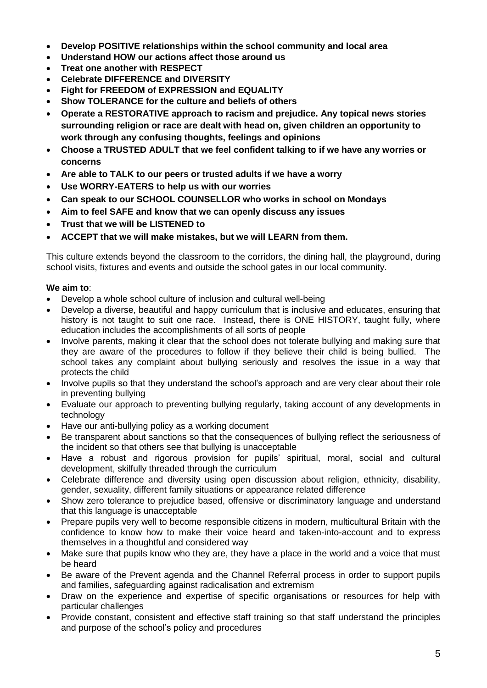- **Develop POSITIVE relationships within the school community and local area**
- **Understand HOW our actions affect those around us**
- **Treat one another with RESPECT**
- **Celebrate DIFFERENCE and DIVERSITY**
- **Fight for FREEDOM of EXPRESSION and EQUALITY**
- **Show TOLERANCE for the culture and beliefs of others**
- **Operate a RESTORATIVE approach to racism and prejudice. Any topical news stories surrounding religion or race are dealt with head on, given children an opportunity to work through any confusing thoughts, feelings and opinions**
- **Choose a TRUSTED ADULT that we feel confident talking to if we have any worries or concerns**
- **Are able to TALK to our peers or trusted adults if we have a worry**
- **Use WORRY-EATERS to help us with our worries**
- **Can speak to our SCHOOL COUNSELLOR who works in school on Mondays**
- **Aim to feel SAFE and know that we can openly discuss any issues**
- **Trust that we will be LISTENED to**
- **ACCEPT that we will make mistakes, but we will LEARN from them.**

This culture extends beyond the classroom to the corridors, the dining hall, the playground, during school visits, fixtures and events and outside the school gates in our local community.

#### **We aim to**:

- Develop a whole school culture of inclusion and cultural well-being
- Develop a diverse, beautiful and happy curriculum that is inclusive and educates, ensuring that history is not taught to suit one race. Instead, there is ONE HISTORY, taught fully, where education includes the accomplishments of all sorts of people
- Involve parents, making it clear that the school does not tolerate bullying and making sure that they are aware of the procedures to follow if they believe their child is being bullied. The school takes any complaint about bullying seriously and resolves the issue in a way that protects the child
- Involve pupils so that they understand the school's approach and are very clear about their role in preventing bullying
- Evaluate our approach to preventing bullying regularly, taking account of any developments in technology
- Have our anti-bullying policy as a working document
- Be transparent about sanctions so that the consequences of bullying reflect the seriousness of the incident so that others see that bullying is unacceptable
- Have a robust and rigorous provision for pupils' spiritual, moral, social and cultural development, skilfully threaded through the curriculum
- Celebrate difference and diversity using open discussion about religion, ethnicity, disability, gender, sexuality, different family situations or appearance related difference
- Show zero tolerance to prejudice based, offensive or discriminatory language and understand that this language is unacceptable
- Prepare pupils very well to become responsible citizens in modern, multicultural Britain with the confidence to know how to make their voice heard and taken-into-account and to express themselves in a thoughtful and considered way
- Make sure that pupils know who they are, they have a place in the world and a voice that must be heard
- Be aware of the Prevent agenda and the Channel Referral process in order to support pupils and families, safeguarding against radicalisation and extremism
- Draw on the experience and expertise of specific organisations or resources for help with particular challenges
- Provide constant, consistent and effective staff training so that staff understand the principles and purpose of the school's policy and procedures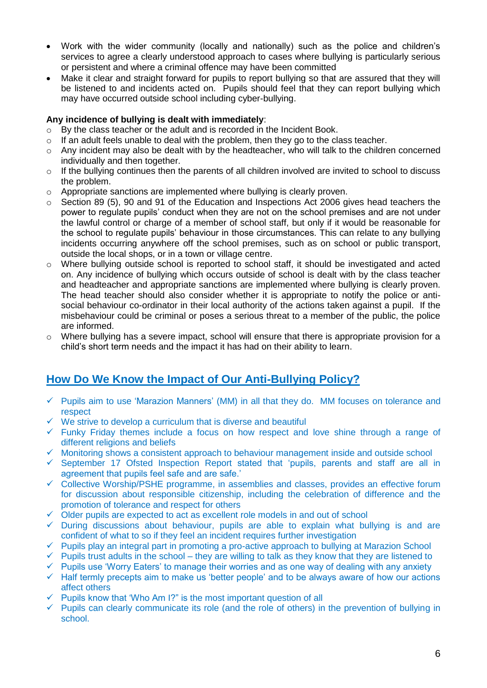- Work with the wider community (locally and nationally) such as the police and children's services to agree a clearly understood approach to cases where bullying is particularly serious or persistent and where a criminal offence may have been committed
- Make it clear and straight forward for pupils to report bullying so that are assured that they will be listened to and incidents acted on. Pupils should feel that they can report bullying which may have occurred outside school including cyber-bullying.

#### **Any incidence of bullying is dealt with immediately**:

- o By the class teacher or the adult and is recorded in the Incident Book.
- $\circ$  If an adult feels unable to deal with the problem, then they go to the class teacher.
- o Any incident may also be dealt with by the headteacher, who will talk to the children concerned individually and then together.
- o If the bullying continues then the parents of all children involved are invited to school to discuss the problem.
- o Appropriate sanctions are implemented where bullying is clearly proven.
- $\circ$  Section 89 (5), 90 and 91 of the Education and Inspections Act 2006 gives head teachers the power to regulate pupils' conduct when they are not on the school premises and are not under the lawful control or charge of a member of school staff, but only if it would be reasonable for the school to regulate pupils' behaviour in those circumstances. This can relate to any bullying incidents occurring anywhere off the school premises, such as on school or public transport, outside the local shops, or in a town or village centre.
- $\circ$  Where bullying outside school is reported to school staff, it should be investigated and acted on. Any incidence of bullying which occurs outside of school is dealt with by the class teacher and headteacher and appropriate sanctions are implemented where bullying is clearly proven. The head teacher should also consider whether it is appropriate to notify the police or antisocial behaviour co-ordinator in their local authority of the actions taken against a pupil. If the misbehaviour could be criminal or poses a serious threat to a member of the public, the police are informed.
- o Where bullying has a severe impact, school will ensure that there is appropriate provision for a child's short term needs and the impact it has had on their ability to learn.

## **How Do We Know the Impact of Our Anti-Bullying Policy?**

- $\checkmark$  Pupils aim to use 'Marazion Manners' (MM) in all that they do. MM focuses on tolerance and respect
- ✓ We strive to develop a curriculum that is diverse and beautiful
- $\checkmark$  Funky Friday themes include a focus on how respect and love shine through a range of different religions and beliefs
- ✓ Monitoring shows a consistent approach to behaviour management inside and outside school
- ✓ September 17 Ofsted Inspection Report stated that 'pupils, parents and staff are all in agreement that pupils feel safe and are safe.'
- ✓ Collective Worship/PSHE programme, in assemblies and classes, provides an effective forum for discussion about responsible citizenship, including the celebration of difference and the promotion of tolerance and respect for others
- $\checkmark$  Older pupils are expected to act as excellent role models in and out of school
- $\checkmark$  During discussions about behaviour, pupils are able to explain what bullying is and are confident of what to so if they feel an incident requires further investigation
- ✓ Pupils play an integral part in promoting a pro-active approach to bullying at Marazion School
- $\checkmark$  Pupils trust adults in the school they are willing to talk as they know that they are listened to
- $\checkmark$  Pupils use 'Worry Eaters' to manage their worries and as one way of dealing with any anxiety
- ✓ Half termly precepts aim to make us 'better people' and to be always aware of how our actions affect others
- $\checkmark$  Pupils know that 'Who Am I?" is the most important question of all
- $\checkmark$  Pupils can clearly communicate its role (and the role of others) in the prevention of bullying in school.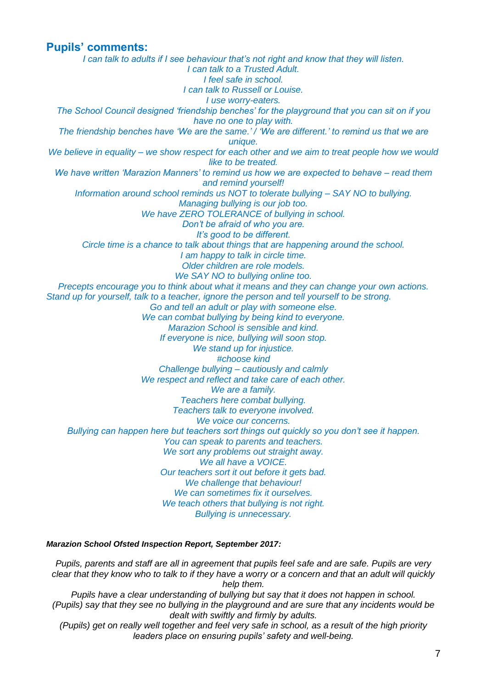#### **Pupils' comments:**

*I can talk to adults if I see behaviour that's not right and know that they will listen. I can talk to a Trusted Adult. I feel safe in school. I can talk to Russell or Louise. I use worry-eaters. The School Council designed 'friendship benches' for the playground that you can sit on if you have no one to play with. The friendship benches have 'We are the same.' / 'We are different.' to remind us that we are unique. We believe in equality – we show respect for each other and we aim to treat people how we would like to be treated. We have written 'Marazion Manners' to remind us how we are expected to behave – read them and remind yourself! Information around school reminds us NOT to tolerate bullying – SAY NO to bullying. Managing bullying is our job too. We have ZERO TOLERANCE of bullying in school. Don't be afraid of who you are. It's good to be different. Circle time is a chance to talk about things that are happening around the school. I am happy to talk in circle time. Older children are role models. We SAY NO to bullying online too. Precepts encourage you to think about what it means and they can change your own actions. Stand up for yourself, talk to a teacher, ignore the person and tell yourself to be strong. Go and tell an adult or play with someone else. We can combat bullying by being kind to everyone. Marazion School is sensible and kind. If everyone is nice, bullying will soon stop. We stand up for injustice. #choose kind Challenge bullying – cautiously and calmly We respect and reflect and take care of each other. We are a family. Teachers here combat bullying. Teachers talk to everyone involved. We voice our concerns. Bullying can happen here but teachers sort things out quickly so you don't see it happen. You can speak to parents and teachers. We sort any problems out straight away. We all have a VOICE. Our teachers sort it out before it gets bad. We challenge that behaviour! We can sometimes fix it ourselves. We teach others that bullying is not right. Bullying is unnecessary.*

#### *Marazion School Ofsted Inspection Report, September 2017:*

*Pupils, parents and staff are all in agreement that pupils feel safe and are safe. Pupils are very clear that they know who to talk to if they have a worry or a concern and that an adult will quickly help them.*

*Pupils have a clear understanding of bullying but say that it does not happen in school. (Pupils) say that they see no bullying in the playground and are sure that any incidents would be dealt with swiftly and firmly by adults.*

*(Pupils) get on really well together and feel very safe in school, as a result of the high priority leaders place on ensuring pupils' safety and well-being.*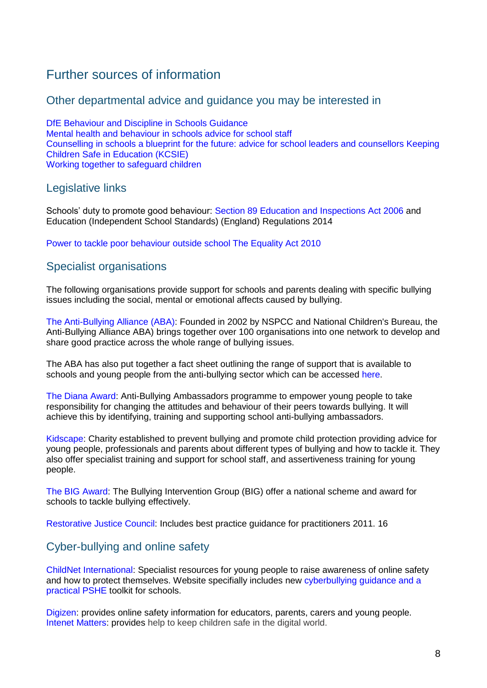## Further sources of information

#### Other departmental advice and guidance you may be interested in

DfE Behaviour and Discipline in Schools Guidance Mental health and behaviour in schools advice for school staff Counselling in schools a blueprint for the future: advice for school leaders and counsellors Keeping Children Safe in Education (KCSIE) Working together to safeguard children

#### Legislative links

Schools' duty to promote good behaviour: Section 89 Education and Inspections Act 2006 and Education (Independent School Standards) (England) Regulations 2014

Power to tackle poor behaviour outside school The Equality Act 2010

## Specialist organisations

The following organisations provide support for schools and parents dealing with specific bullying issues including the social, mental or emotional affects caused by bullying.

The Anti-Bullying Alliance (ABA): Founded in 2002 by NSPCC and National Children's Bureau, the Anti-Bullying Alliance ABA) brings together over 100 organisations into one network to develop and share good practice across the whole range of bullying issues.

The ABA has also put together a fact sheet outlining the range of support that is available to schools and young people from the anti-bullying sector which can be accessed here.

The Diana Award: Anti-Bullying Ambassadors programme to empower young people to take responsibility for changing the attitudes and behaviour of their peers towards bullying. It will achieve this by identifying, training and supporting school anti-bullying ambassadors.

Kidscape: Charity established to prevent bullying and promote child protection providing advice for young people, professionals and parents about different types of bullying and how to tackle it. They also offer specialist training and support for school staff, and assertiveness training for young people.

The BIG Award: The Bullying Intervention Group (BIG) offer a national scheme and award for schools to tackle bullying effectively.

Restorative Justice Council: Includes best practice guidance for practitioners 2011. 16

## Cyber-bullying and online safety

ChildNet International: Specialist resources for young people to raise awareness of online safety and how to protect themselves. Website specifially includes new cyberbullying guidance and a practical PSHE toolkit for schools.

Digizen: provides online safety information for educators, parents, carers and young people. Intenet Matters: provides help to keep children safe in the digital world.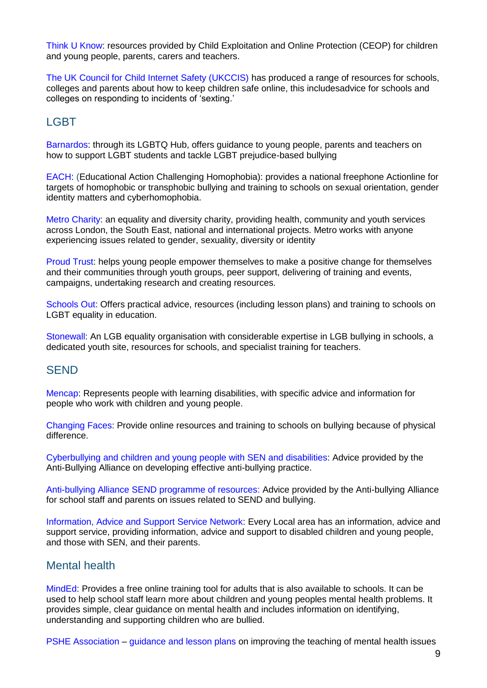Think U Know: resources provided by Child Exploitation and Online Protection (CEOP) for children and young people, parents, carers and teachers.

The UK Council for Child Internet Safety (UKCCIS) has produced a range of resources for schools, colleges and parents about how to keep children safe online, this includesadvice for schools and colleges on responding to incidents of 'sexting.'

## **LGBT**

Barnardos: through its LGBTQ Hub, offers guidance to young people, parents and teachers on how to support LGBT students and tackle LGBT prejudice-based bullying

EACH: (Educational Action Challenging Homophobia): provides a national freephone Actionline for targets of homophobic or transphobic bullying and training to schools on sexual orientation, gender identity matters and cyberhomophobia.

Metro Charity: an equality and diversity charity, providing health, community and youth services across London, the South East, national and international projects. Metro works with anyone experiencing issues related to gender, sexuality, diversity or identity

Proud Trust: helps young people empower themselves to make a positive change for themselves and their communities through youth groups, peer support, delivering of training and events, campaigns, undertaking research and creating resources.

Schools Out: Offers practical advice, resources (including lesson plans) and training to schools on LGBT equality in education.

Stonewall: An LGB equality organisation with considerable expertise in LGB bullying in schools, a dedicated youth site, resources for schools, and specialist training for teachers.

#### **SEND**

Mencap: Represents people with learning disabilities, with specific advice and information for people who work with children and young people.

Changing Faces: Provide online resources and training to schools on bullying because of physical difference.

Cyberbullying and children and young people with SEN and disabilities: Advice provided by the Anti-Bullying Alliance on developing effective anti-bullying practice.

Anti-bullying Alliance SEND programme of resources: Advice provided by the Anti-bullying Alliance for school staff and parents on issues related to SEND and bullying.

Information, Advice and Support Service Network: Every Local area has an information, advice and support service, providing information, advice and support to disabled children and young people, and those with SEN, and their parents.

#### Mental health

MindEd: Provides a free online training tool for adults that is also available to schools. It can be used to help school staff learn more about children and young peoples mental health problems. It provides simple, clear guidance on mental health and includes information on identifying, understanding and supporting children who are bullied.

PSHE Association – guidance and lesson plans on improving the teaching of mental health issues